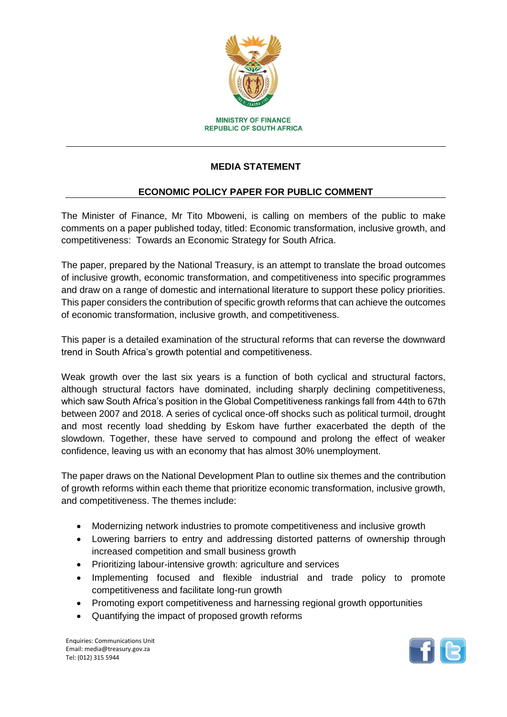

## **MEDIA STATEMENT**

## **ECONOMIC POLICY PAPER FOR PUBLIC COMMENT**

The Minister of Finance, Mr Tito Mboweni, is calling on members of the public to make comments on a paper published today, titled: Economic transformation, inclusive growth, and competitiveness: Towards an Economic Strategy for South Africa.

The paper, prepared by the National Treasury, is an attempt to translate the broad outcomes of inclusive growth, economic transformation, and competitiveness into specific programmes and draw on a range of domestic and international literature to support these policy priorities. This paper considers the contribution of specific growth reforms that can achieve the outcomes of economic transformation, inclusive growth, and competitiveness.

This paper is a detailed examination of the structural reforms that can reverse the downward trend in South Africa's growth potential and competitiveness.

Weak growth over the last six years is a function of both cyclical and structural factors, although structural factors have dominated, including sharply declining competitiveness, which saw South Africa's position in the Global Competitiveness rankings fall from 44th to 67th between 2007 and 2018. A series of cyclical once-off shocks such as political turmoil, drought and most recently load shedding by Eskom have further exacerbated the depth of the slowdown. Together, these have served to compound and prolong the effect of weaker confidence, leaving us with an economy that has almost 30% unemployment.

The paper draws on the National Development Plan to outline six themes and the contribution of growth reforms within each theme that prioritize economic transformation, inclusive growth, and competitiveness. The themes include:

- Modernizing network industries to promote competitiveness and inclusive growth
- Lowering barriers to entry and addressing distorted patterns of ownership through increased competition and small business growth
- Prioritizing labour-intensive growth: agriculture and services
- Implementing focused and flexible industrial and trade policy to promote competitiveness and facilitate long-run growth
- Promoting export competitiveness and harnessing regional growth opportunities
- Quantifying the impact of proposed growth reforms